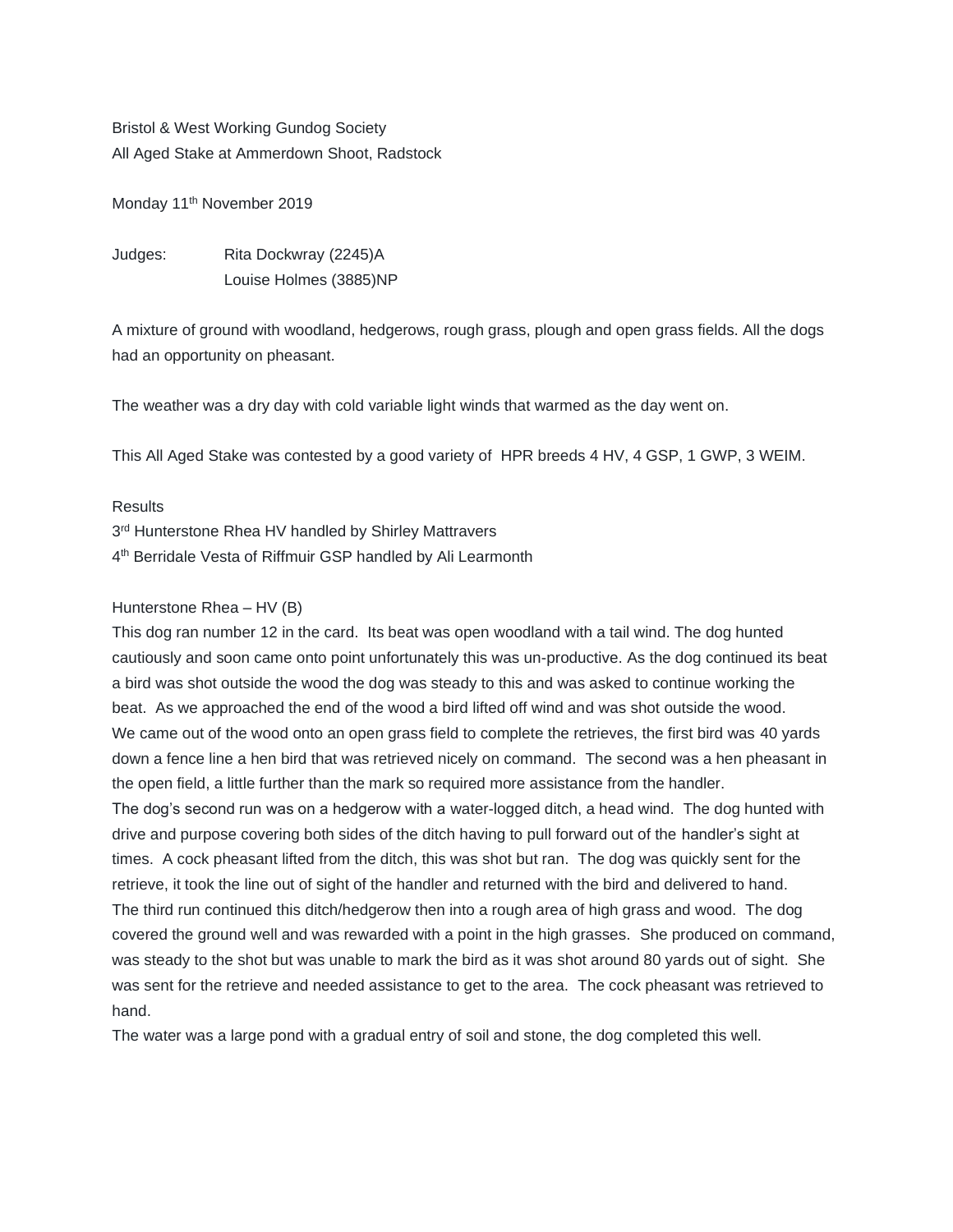Bristol & West Working Gundog Society All Aged Stake at Ammerdown Shoot, Radstock

Monday 11<sup>th</sup> November 2019

Judges: Rita Dockwray (2245)A Louise Holmes (3885)NP

A mixture of ground with woodland, hedgerows, rough grass, plough and open grass fields. All the dogs had an opportunity on pheasant.

The weather was a dry day with cold variable light winds that warmed as the day went on.

This All Aged Stake was contested by a good variety of HPR breeds 4 HV, 4 GSP, 1 GWP, 3 WEIM.

## Results

3<sup>rd</sup> Hunterstone Rhea HV handled by Shirley Mattravers 4<sup>th</sup> Berridale Vesta of Riffmuir GSP handled by Ali Learmonth

## Hunterstone Rhea – HV (B)

This dog ran number 12 in the card. Its beat was open woodland with a tail wind. The dog hunted cautiously and soon came onto point unfortunately this was un-productive. As the dog continued its beat a bird was shot outside the wood the dog was steady to this and was asked to continue working the beat. As we approached the end of the wood a bird lifted off wind and was shot outside the wood. We came out of the wood onto an open grass field to complete the retrieves, the first bird was 40 yards down a fence line a hen bird that was retrieved nicely on command. The second was a hen pheasant in the open field, a little further than the mark so required more assistance from the handler. The dog's second run was on a hedgerow with a water-logged ditch, a head wind. The dog hunted with drive and purpose covering both sides of the ditch having to pull forward out of the handler's sight at times. A cock pheasant lifted from the ditch, this was shot but ran. The dog was quickly sent for the retrieve, it took the line out of sight of the handler and returned with the bird and delivered to hand. The third run continued this ditch/hedgerow then into a rough area of high grass and wood. The dog covered the ground well and was rewarded with a point in the high grasses. She produced on command, was steady to the shot but was unable to mark the bird as it was shot around 80 yards out of sight. She was sent for the retrieve and needed assistance to get to the area. The cock pheasant was retrieved to hand.

The water was a large pond with a gradual entry of soil and stone, the dog completed this well.